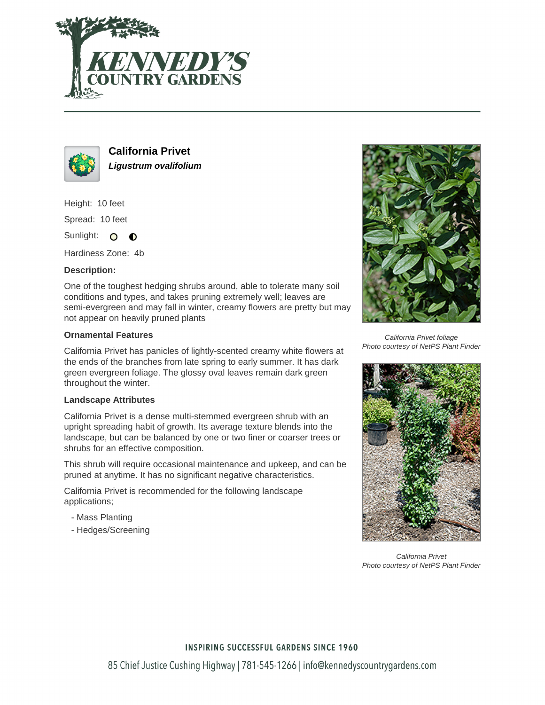



**California Privet Ligustrum ovalifolium**

Height: 10 feet Spread: 10 feet

Sunlight: O  $\bullet$ 

Hardiness Zone: 4b

# **Description:**

One of the toughest hedging shrubs around, able to tolerate many soil conditions and types, and takes pruning extremely well; leaves are semi-evergreen and may fall in winter, creamy flowers are pretty but may not appear on heavily pruned plants

### **Ornamental Features**

California Privet has panicles of lightly-scented creamy white flowers at the ends of the branches from late spring to early summer. It has dark green evergreen foliage. The glossy oval leaves remain dark green throughout the winter.

#### **Landscape Attributes**

California Privet is a dense multi-stemmed evergreen shrub with an upright spreading habit of growth. Its average texture blends into the landscape, but can be balanced by one or two finer or coarser trees or shrubs for an effective composition.

This shrub will require occasional maintenance and upkeep, and can be pruned at anytime. It has no significant negative characteristics.

California Privet is recommended for the following landscape applications;

- Mass Planting
- Hedges/Screening



California Privet foliage Photo courtesy of NetPS Plant Finder



California Privet Photo courtesy of NetPS Plant Finder

# **INSPIRING SUCCESSFUL GARDENS SINCE 1960**

85 Chief Justice Cushing Highway | 781-545-1266 | info@kennedyscountrygardens.com